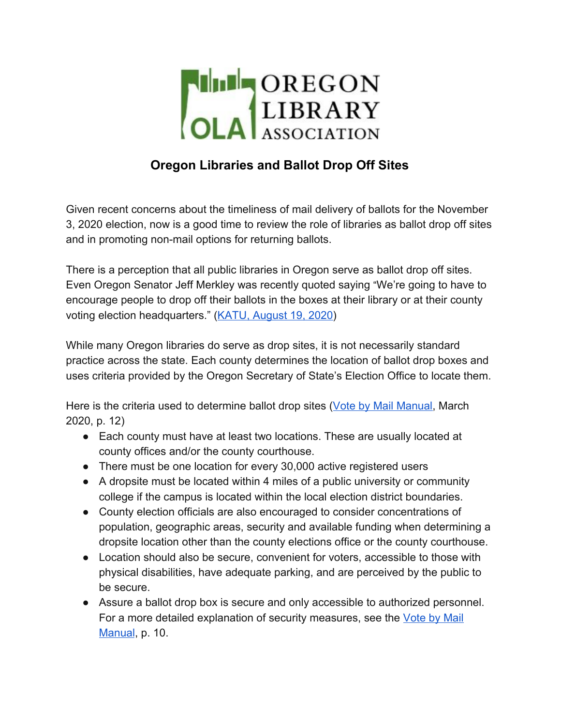

# **Oregon Libraries and Ballot Drop Off Sites**

Given recent concerns about the timeliness of mail delivery of ballots for the November 3, 2020 election, now is a good time to review the role of libraries as ballot drop off sites and in promoting non-mail options for returning ballots.

There is a perception that all public libraries in Oregon serve as ballot drop off sites. Even Oregon Senator Jeff Merkley was recently quoted saying "We're going to have to encourage people to drop off their ballots in the boxes at their library or at their county voting election headquarters." ([KATU, August 19, 2020\)](https://katu.com/news/local/oregon-sen-merkley-accuses-pres-trump-of-authoritarian-manipulation-with-usps)

While many Oregon libraries do serve as drop sites, it is not necessarily standard practice across the state. Each county determines the location of ballot drop boxes and uses criteria provided by the Oregon Secretary of State's Election Office to locate them.

Here is the criteria used to determine ballot drop sites ([Vote by Mail Manual](https://sos.oregon.gov/elections/Documents/vbm_manual.pdf), March 2020, p. 12)

- Each county must have at least two locations. These are usually located at county offices and/or the county courthouse.
- There must be one location for every 30,000 active registered users
- A dropsite must be located within 4 miles of a public university or community college if the campus is located within the local election district boundaries.
- County election officials are also encouraged to consider concentrations of population, geographic areas, security and available funding when determining a dropsite location other than the county elections office or the county courthouse.
- Location should also be secure, convenient for voters, accessible to those with physical disabilities, have adequate parking, and are perceived by the public to be secure.
- Assure a ballot drop box is secure and only accessible to authorized personnel. For a more detailed explanation of security measures, see the [Vote by Mail](https://sos.oregon.gov/elections/Documents/vbm_manual.pdf) [Manual](https://sos.oregon.gov/elections/Documents/vbm_manual.pdf), p. 10.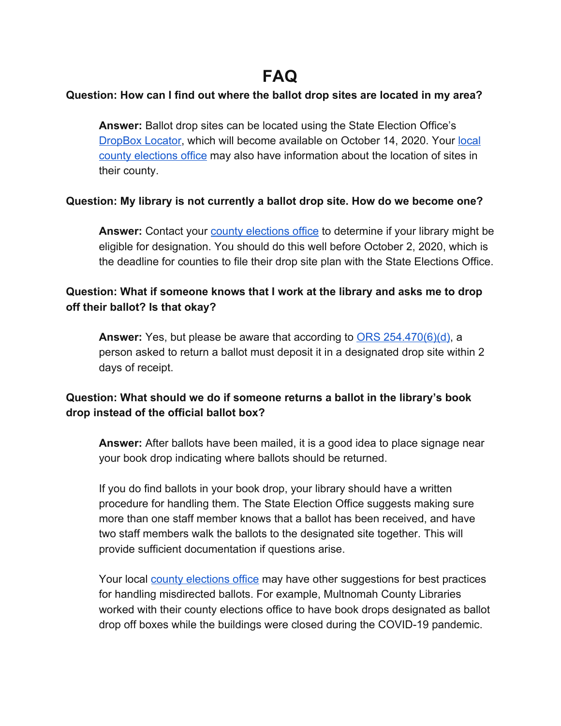# **FAQ**

#### **Question: How can I find out where the ballot drop sites are located in my area?**

**Answer:** Ballot drop sites can be located using the State Election Office's [DropBox Locator](https://sos.oregon.gov/voting/Pages/drop-box-locator.aspx), which will become available on October 14, 2020. Your [local](https://sos.oregon.gov/elections/Pages/countyofficials.aspx) [county elections office](https://sos.oregon.gov/elections/Pages/countyofficials.aspx) may also have information about the location of sites in their county.

#### **Question: My library is not currently a ballot drop site. How do we become one?**

Answer: Contact your [county elections office](https://sos.oregon.gov/elections/Pages/countyofficials.aspx) to determine if your library might be eligible for designation. You should do this well before October 2, 2020, which is the deadline for counties to file their drop site plan with the State Elections Office.

# **Question: What if someone knows that I work at the library and asks me to drop off their ballot? Is that okay?**

**Answer:** Yes, but please be aware that according to [ORS 254.470\(6\)\(d\)](https://www.oregonlaws.org/ors/254.470), a person asked to return a ballot must deposit it in a designated drop site within 2 days of receipt.

# **Question: What should we do if someone returns a ballot in the library's book drop instead of the official ballot box?**

**Answer:** After ballots have been mailed, it is a good idea to place signage near your book drop indicating where ballots should be returned.

If you do find ballots in your book drop, your library should have a written procedure for handling them. The State Election Office suggests making sure more than one staff member knows that a ballot has been received, and have two staff members walk the ballots to the designated site together. This will provide sufficient documentation if questions arise.

Your local [county elections office](https://sos.oregon.gov/elections/Pages/countyofficials.aspx) may have other suggestions for best practices for handling misdirected ballots. For example, Multnomah County Libraries worked with their county elections office to have book drops designated as ballot drop off boxes while the buildings were closed during the COVID-19 pandemic.